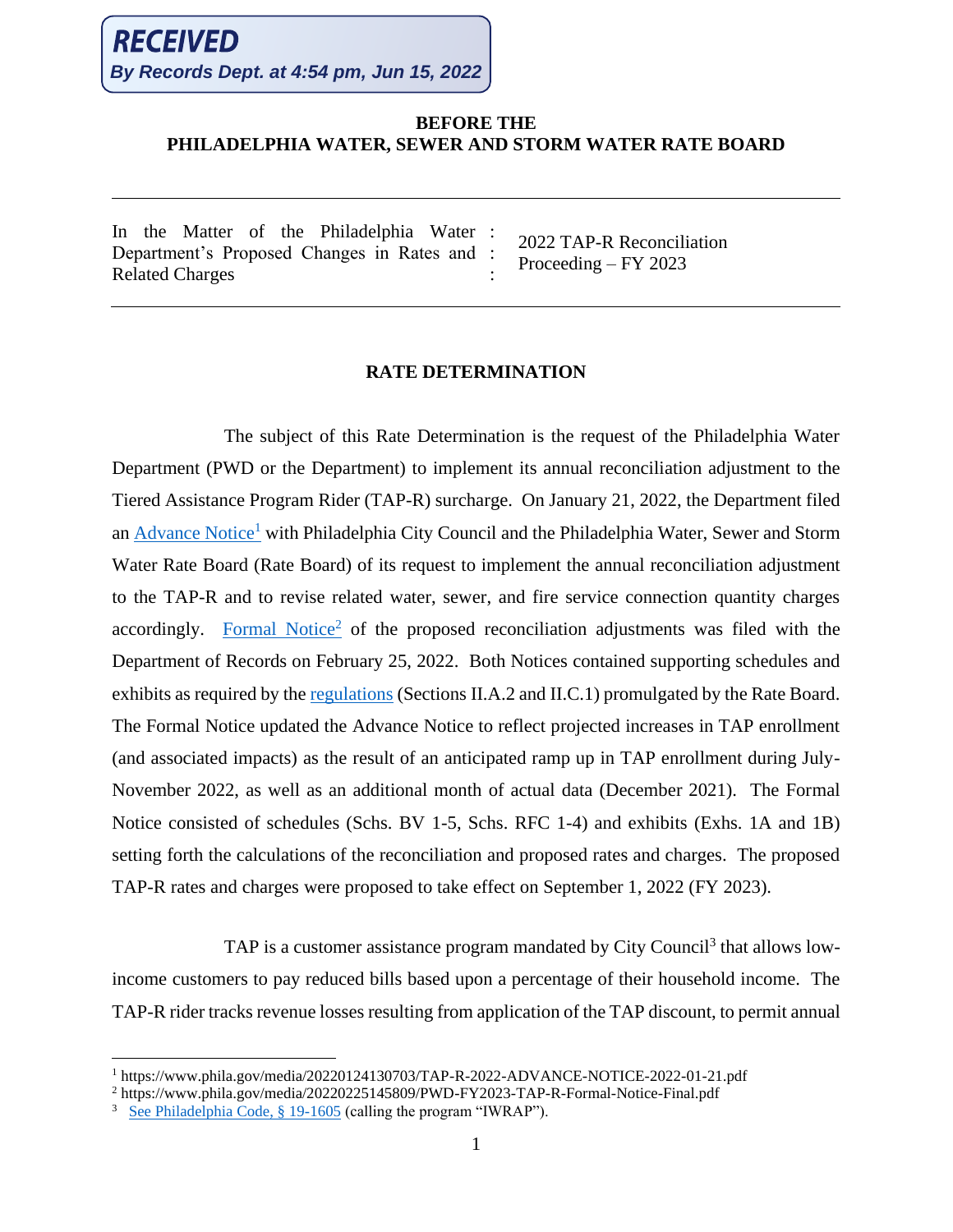## **BEFORE THE PHILADELPHIA WATER, SEWER AND STORM WATER RATE BOARD**

In the Matter of the Philadelphia Water : Department's Proposed Changes in Rates and : Related Charges

2022 TAP-R Reconciliation Proceeding – FY 2023

## **RATE DETERMINATION**

:

The subject of this Rate Determination is the request of the Philadelphia Water Department (PWD or the Department) to implement its annual reconciliation adjustment to the Tiered Assistance Program Rider (TAP-R) surcharge. On January 21, 2022, the Department filed an [Advance Notice](https://www.phila.gov/media/20220124130703/TAP-R-2022-ADVANCE-NOTICE-2022-01-21.pdf)<sup>1</sup> with Philadelphia City Council and the Philadelphia Water, Sewer and Storm Water Rate Board (Rate Board) of its request to implement the annual reconciliation adjustment to the TAP-R and to revise related water, sewer, and fire service connection quantity charges accordingly. [Formal](https://www.phila.gov/media/20220225145809/PWD-FY2023-TAP-R-Formal-Notice-Final.pdf) Notice<sup>2</sup> of the proposed reconciliation adjustments was filed with the Department of Records on February 25, 2022. Both Notices contained supporting schedules and exhibits as required by the [regulations](https://www.phila.gov/media/20220204155914/WRBRegulationsAmended20210908reaffirmed20211013.pdf) (Sections II.A.2 and II.C.1) promulgated by the Rate Board. The Formal Notice updated the Advance Notice to reflect projected increases in TAP enrollment (and associated impacts) as the result of an anticipated ramp up in TAP enrollment during July-November 2022, as well as an additional month of actual data (December 2021). The Formal Notice consisted of schedules (Schs. BV 1-5, Schs. RFC 1-4) and exhibits (Exhs. 1A and 1B) setting forth the calculations of the reconciliation and proposed rates and charges. The proposed TAP-R rates and charges were proposed to take effect on September 1, 2022 (FY 2023).

TAP is a customer assistance program mandated by City Council<sup>3</sup> that allows lowincome customers to pay reduced bills based upon a percentage of their household income. The TAP-R rider tracks revenue losses resulting from application of the TAP discount, to permit annual

<sup>1</sup> https://www.phila.gov/media/20220124130703/TAP-R-2022-ADVANCE-NOTICE-2022-01-21.pdf

<sup>2</sup> https://www.phila.gov/media/20220225145809/PWD-FY2023-TAP-R-Formal-Notice-Final.pdf

 $3 \text{ See Philadelphia Code}, \text{§ } 19-1605 \text{ (calling the program "IWRAP").}$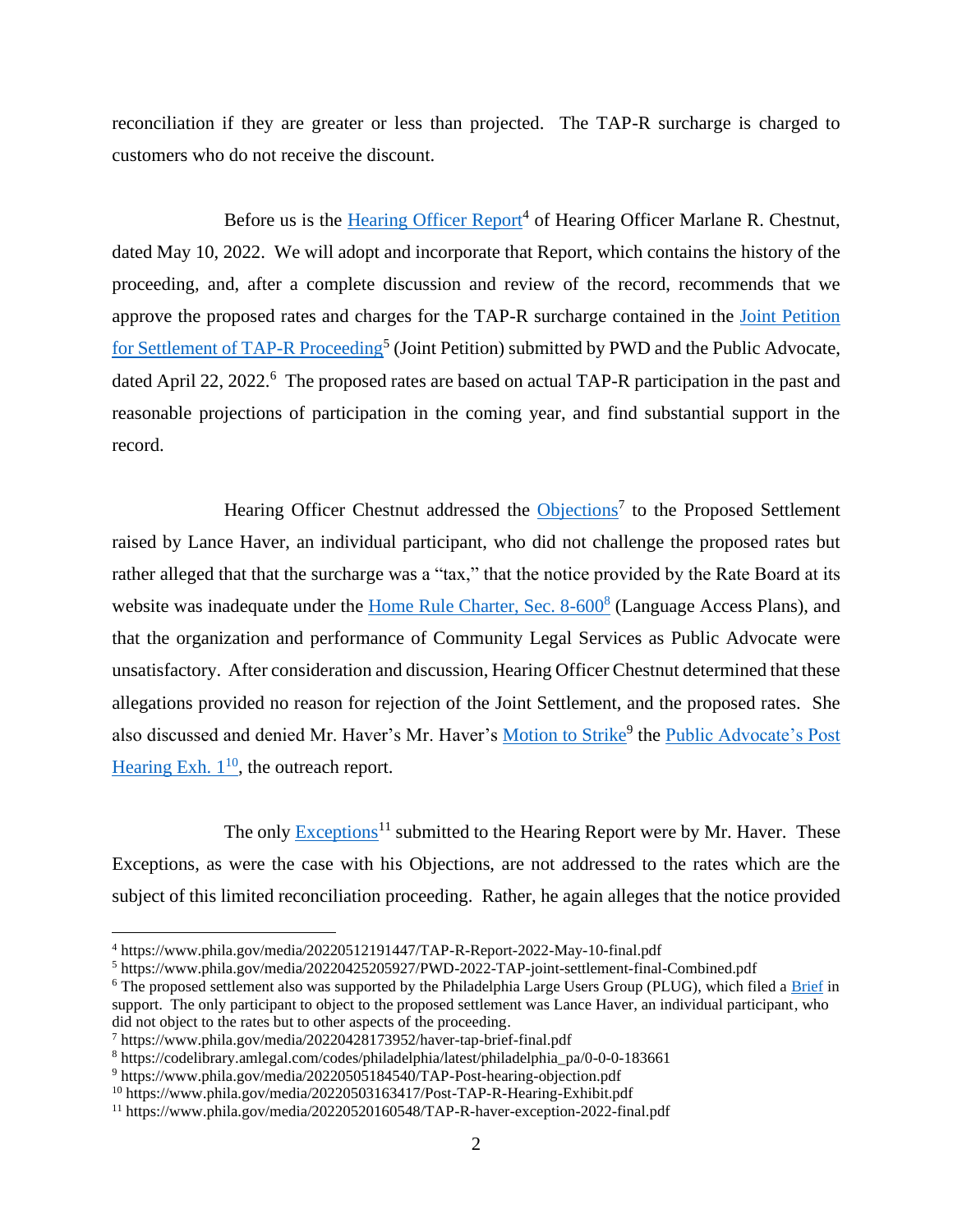reconciliation if they are greater or less than projected. The TAP-R surcharge is charged to customers who do not receive the discount.

Before us is the [Hearing Officer Report](https://www.phila.gov/media/20220512191447/TAP-R-Report-2022-May-10-final.pdf)<sup>4</sup> of Hearing Officer Marlane R. Chestnut, dated May 10, 2022. We will adopt and incorporate that Report, which contains the history of the proceeding, and, after a complete discussion and review of the record, recommends that we approve the proposed rates and charges for the TAP-R surcharge contained in the [Joint Petition](https://www.phila.gov/media/20220425205927/PWD-2022-TAP-joint-settlement-final-Combined.pdf)  for Settlement [of TAP-R Proceeding](https://www.phila.gov/media/20220425205927/PWD-2022-TAP-joint-settlement-final-Combined.pdf)<sup>5</sup> (Joint Petition) submitted by PWD and the Public Advocate, dated April 22, 2022.<sup>6</sup> The proposed rates are based on actual TAP-R participation in the past and reasonable projections of participation in the coming year, and find substantial support in the record.

Hearing Officer Chestnut addressed the [Objections](https://www.phila.gov/media/20220428173952/haver-tap-brief-final.pdf)<sup>7</sup> to the Proposed Settlement raised by Lance Haver, an individual participant, who did not challenge the proposed rates but rather alleged that that the surcharge was a "tax," that the notice provided by the Rate Board at its website was inadequate under the [Home Rule Charter, Sec. 8-600](https://codelibrary.amlegal.com/codes/philadelphia/latest/philadelphia_pa/0-0-0-183661)<sup>8</sup> (Language Access Plans), and that the organization and performance of Community Legal Services as Public Advocate were unsatisfactory. After consideration and discussion, Hearing Officer Chestnut determined that these allegations provided no reason for rejection of the Joint Settlement, and the proposed rates. She also discussed and denied Mr. Haver's Mr. Haver's <u>Motion to Strike</u><sup>9</sup> the [Public Advocate's Post](https://www.phila.gov/media/20220503163417/Post-TAP-R-Hearing-Exhibit.pdf) Hearing Exh.  $1^{10}$ , the outreach report.

The only [Exceptions](https://www.phila.gov/media/20220520160548/TAP-R-haver-exception-2022-final.pdf)<sup>11</sup> submitted to the Hearing Report were by Mr. Haver. These Exceptions, as were the case with his Objections, are not addressed to the rates which are the subject of this limited reconciliation proceeding. Rather, he again alleges that the notice provided

<sup>4</sup> https://www.phila.gov/media/20220512191447/TAP-R-Report-2022-May-10-final.pdf

<sup>5</sup> https://www.phila.gov/media/20220425205927/PWD-2022-TAP-joint-settlement-final-Combined.pdf

<sup>6</sup> The proposed settlement also was supported by the Philadelphia Large Users Group (PLUG), which filed a [Brief](https://www.phila.gov/media/20220425205926/PLUG-TAP-R-Main-Brief.pdf) in support. The only participant to object to the proposed settlement was Lance Haver, an individual participant, who did not object to the rates but to other aspects of the proceeding.

<sup>7</sup> https://www.phila.gov/media/20220428173952/haver-tap-brief-final.pdf

<sup>8</sup> https://codelibrary.amlegal.com/codes/philadelphia/latest/philadelphia\_pa/0-0-0-183661

<sup>9</sup> https://www.phila.gov/media/20220505184540/TAP-Post-hearing-objection.pdf

<sup>10</sup> https://www.phila.gov/media/20220503163417/Post-TAP-R-Hearing-Exhibit.pdf

<sup>11</sup> https://www.phila.gov/media/20220520160548/TAP-R-haver-exception-2022-final.pdf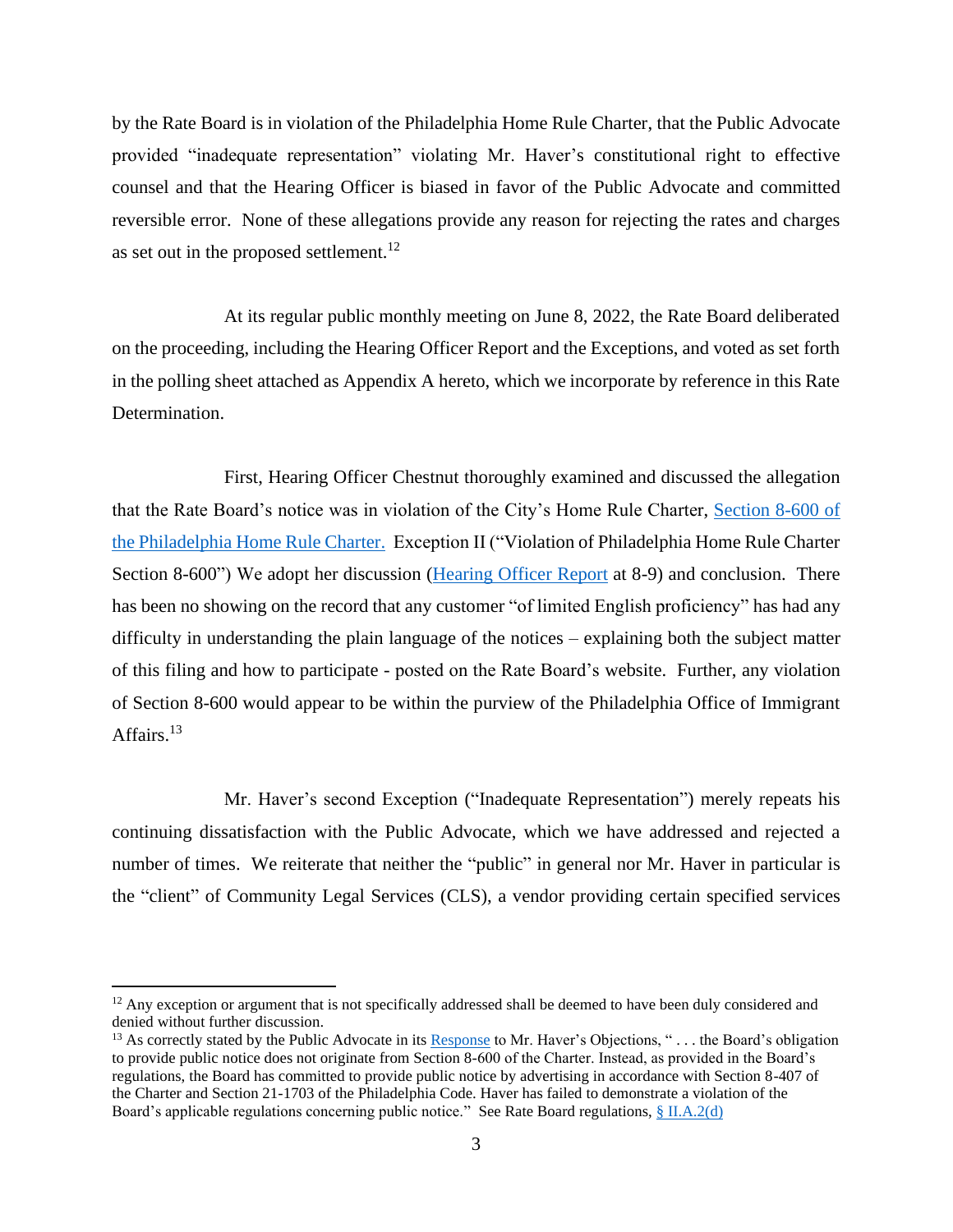by the Rate Board is in violation of the Philadelphia Home Rule Charter, that the Public Advocate provided "inadequate representation" violating Mr. Haver's constitutional right to effective counsel and that the Hearing Officer is biased in favor of the Public Advocate and committed reversible error. None of these allegations provide any reason for rejecting the rates and charges as set out in the proposed settlement.<sup>12</sup>

At its regular public monthly meeting on June 8, 2022, the Rate Board deliberated on the proceeding, including the Hearing Officer Report and the Exceptions, and voted as set forth in the polling sheet attached as Appendix A hereto, which we incorporate by reference in this Rate Determination.

First, Hearing Officer Chestnut thoroughly examined and discussed the allegation that the Rate Board's notice was in violation of the City's Home Rule Charter, [Section 8-600 of](https://codelibrary.amlegal.com/codes/philadelphia/latest/philadelphia_pa/0-0-0-183661)  [the Philadelphia Home Rule Charter.](https://codelibrary.amlegal.com/codes/philadelphia/latest/philadelphia_pa/0-0-0-183661) Exception II ("Violation of Philadelphia Home Rule Charter Section 8-600") We adopt her discussion (Hearing [Officer Report](https://www.phila.gov/media/20220512191447/TAP-R-Report-2022-May-10-final.pdf) at 8-9) and conclusion. There has been no showing on the record that any customer "of limited English proficiency" has had any difficulty in understanding the plain language of the notices – explaining both the subject matter of this filing and how to participate - posted on the Rate Board's website. Further, any violation of Section 8-600 would appear to be within the purview of the Philadelphia Office of Immigrant Affairs.<sup>13</sup>

Mr. Haver's second Exception ("Inadequate Representation") merely repeats his continuing dissatisfaction with the Public Advocate, which we have addressed and rejected a number of times. We reiterate that neither the "public" in general nor Mr. Haver in particular is the "client" of Community Legal Services (CLS), a vendor providing certain specified services

 $12$  Any exception or argument that is not specifically addressed shall be deemed to have been duly considered and denied without further discussion.

<sup>&</sup>lt;sup>13</sup> As correctly stated by the Public Advocate in its [Response](https://www.phila.gov/media/20220504170607/pub-adv-response-to-Haver-objections-final.pdf) to Mr. Haver's Objections, " $\dots$  the Board's obligation to provide public notice does not originate from Section 8-600 of the Charter. Instead, as provided in the Board's regulations, the Board has committed to provide public notice by advertising in accordance with Section 8-407 of the Charter and Section 21-1703 of the Philadelphia Code. Haver has failed to demonstrate a violation of the Board's applicable regulations concerning public notice." See Rate Board regulations,  $\S$  [II.A.2\(d\)](https://www.phila.gov/media/20220204155914/WRBRegulationsAmended20210908reaffirmed20211013.pdf)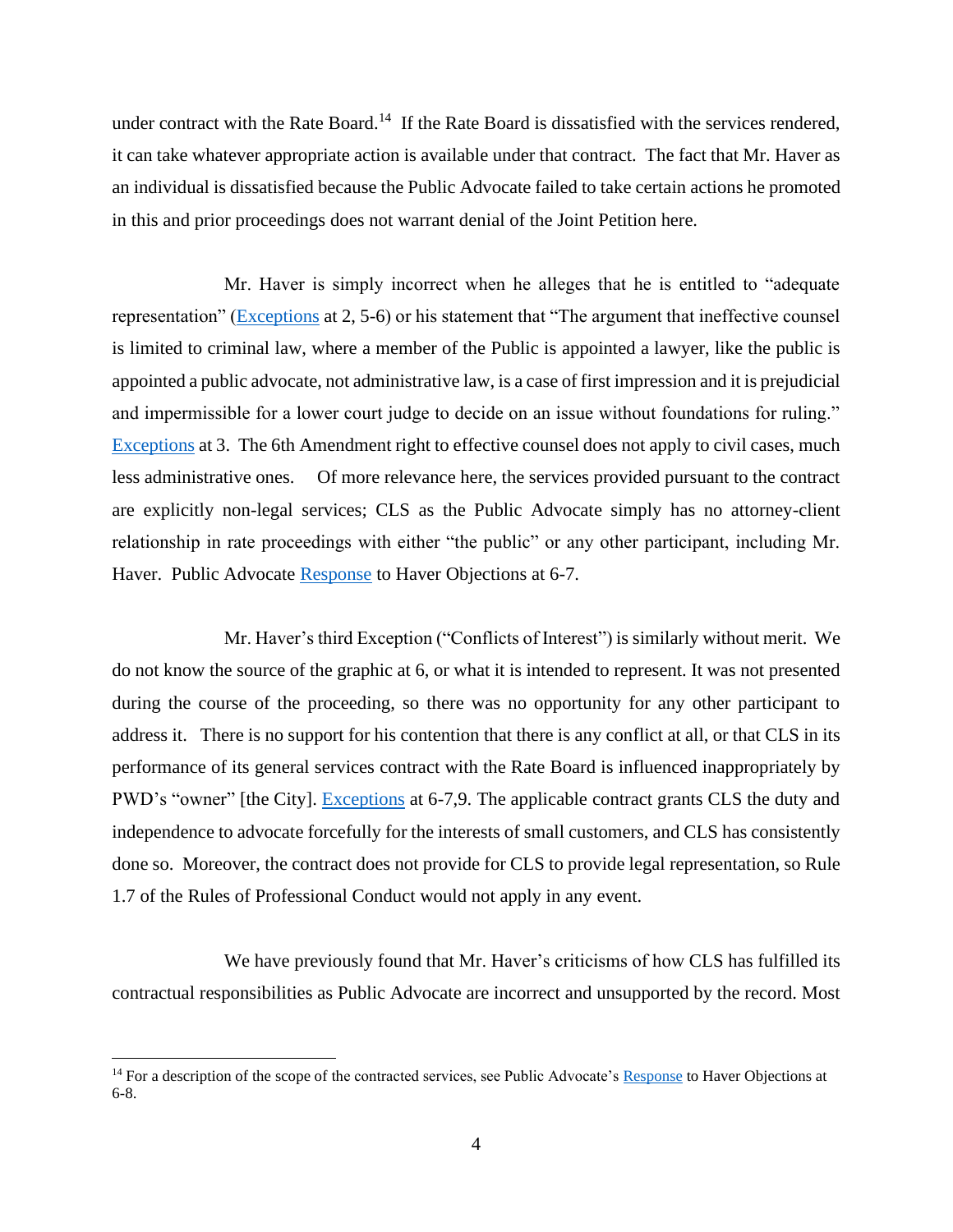under contract with the Rate Board.<sup>14</sup> If the Rate Board is dissatisfied with the services rendered, it can take whatever appropriate action is available under that contract. The fact that Mr. Haver as an individual is dissatisfied because the Public Advocate failed to take certain actions he promoted in this and prior proceedings does not warrant denial of the Joint Petition here.

Mr. Haver is simply incorrect when he alleges that he is entitled to "adequate representation" [\(Exceptions](https://www.phila.gov/media/20220520160548/TAP-R-haver-exception-2022-final.pdf) at 2, 5-6) or his statement that "The argument that ineffective counsel is limited to criminal law, where a member of the Public is appointed a lawyer, like the public is appointed a public advocate, not administrative law, is a case of first impression and it is prejudicial and impermissible for a lower court judge to decide on an issue without foundations for ruling." [Exceptions](https://www.phila.gov/media/20220520160548/TAP-R-haver-exception-2022-final.pdf) at 3. The 6th Amendment right to effective counsel does not apply to civil cases, much less administrative ones. Of more relevance here, the services provided pursuant to the contract are explicitly non-legal services; CLS as the Public Advocate simply has no attorney-client relationship in rate proceedings with either "the public" or any other participant, including Mr. Haver. Public Advocate [Response](https://www.phila.gov/media/20220504170607/pub-adv-response-to-Haver-objections-final.pdf) to Haver Objections at 6-7.

Mr. Haver's third Exception ("Conflicts of Interest") is similarly without merit. We do not know the source of the graphic at 6, or what it is intended to represent. It was not presented during the course of the proceeding, so there was no opportunity for any other participant to address it. There is no support for his contention that there is any conflict at all, or that CLS in its performance of its general services contract with the Rate Board is influenced inappropriately by PWD's "owner" [the City]. [Exceptions](https://www.phila.gov/media/20220520160548/TAP-R-haver-exception-2022-final.pdf) at 6-7,9. The applicable contract grants CLS the duty and independence to advocate forcefully for the interests of small customers, and CLS has consistently done so. Moreover, the contract does not provide for CLS to provide legal representation, so Rule 1.7 of the Rules of Professional Conduct would not apply in any event.

We have previously found that Mr. Haver's criticisms of how CLS has fulfilled its contractual responsibilities as Public Advocate are incorrect and unsupported by the record. Most

<sup>&</sup>lt;sup>14</sup> For a description of the scope of the contracted services, see Public Advocate's [Response](https://www.phila.gov/media/20220504170607/pub-adv-response-to-Haver-objections-final.pdf) to Haver Objections at 6-8.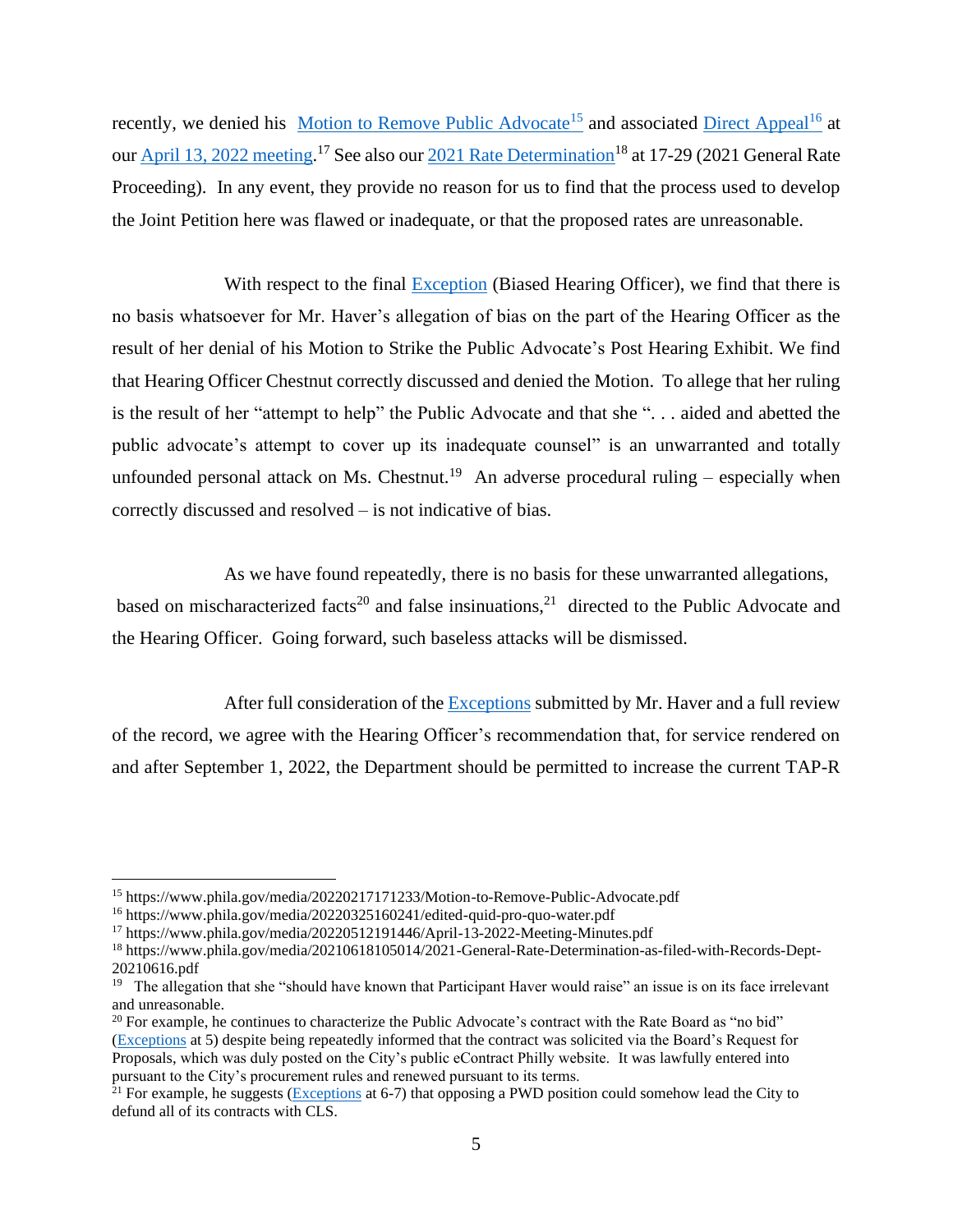recently, we denied his [Motion to Remove Public Advocate](https://www.phila.gov/media/20220217171233/Motion-to-Remove-Public-Advocate.pdf)<sup>15</sup> and associated [Direct Appeal](https://www.phila.gov/media/20220325160241/edited-quid-pro-quo-water.pdf)<sup>16</sup> at ou[r April 13, 2022 meeting.](https://www.phila.gov/media/20220512191446/April-13-2022-Meeting-Minutes.pdf)<sup>17</sup> See also ou[r 2021 Rate Determination](https://www.phila.gov/media/20210618105014/2021-General-Rate-Determination-as-filed-with-Records-Dept-20210616.pdf)<sup>18</sup> at 17-29 (2021 General Rate Proceeding). In any event, they provide no reason for us to find that the process used to develop the Joint Petition here was flawed or inadequate, or that the proposed rates are unreasonable.

With respect to the final [Exception](https://www.phila.gov/media/20220520160548/TAP-R-haver-exception-2022-final.pdf) (Biased Hearing Officer), we find that there is no basis whatsoever for Mr. Haver's allegation of bias on the part of the Hearing Officer as the result of her denial of his Motion to Strike the Public Advocate's Post Hearing Exhibit. We find that Hearing Officer Chestnut correctly discussed and denied the Motion. To allege that her ruling is the result of her "attempt to help" the Public Advocate and that she ". . . aided and abetted the public advocate's attempt to cover up its inadequate counsel" is an unwarranted and totally unfounded personal attack on Ms. Chestnut.<sup>19</sup> An adverse procedural ruling – especially when correctly discussed and resolved – is not indicative of bias.

As we have found repeatedly, there is no basis for these unwarranted allegations, based on mischaracterized facts<sup>20</sup> and false insinuations,<sup>21</sup> directed to the Public Advocate and the Hearing Officer. Going forward, such baseless attacks will be dismissed.

After full consideration of the [Exceptions](https://www.phila.gov/media/20220520160548/TAP-R-haver-exception-2022-final.pdf) submitted by Mr. Haver and a full review of the record, we agree with the Hearing Officer's recommendation that, for service rendered on and after September 1, 2022, the Department should be permitted to increase the current TAP-R

<sup>&</sup>lt;sup>15</sup> https://www.phila.gov/media/20220217171233/Motion-to-Remove-Public-Advocate.pdf

<sup>16</sup> https://www.phila.gov/media/20220325160241/edited-quid-pro-quo-water.pdf

<sup>17</sup> https://www.phila.gov/media/20220512191446/April-13-2022-Meeting-Minutes.pdf

<sup>18</sup> https://www.phila.gov/media/20210618105014/2021-General-Rate-Determination-as-filed-with-Records-Dept-20210616.pdf

<sup>&</sup>lt;sup>19</sup> The allegation that she "should have known that Participant Haver would raise" an issue is on its face irrelevant and unreasonable.

<sup>&</sup>lt;sup>20</sup> For example, he continues to characterize the Public Advocate's contract with the Rate Board as "no bid" [\(Exceptions](https://www.phila.gov/media/20220520160548/TAP-R-haver-exception-2022-final.pdf) at 5) despite being repeatedly informed that the contract was solicited via the Board's Request for Proposals, which was duly posted on the City's public eContract Philly website. It was lawfully entered into pursuant to the City's procurement rules and renewed pursuant to its terms.

<sup>&</sup>lt;sup>21</sup> For example, he suggests ( $\overline{Exceptions}$  at 6-7) that opposing a PWD position could somehow lead the City to defund all of its contracts with CLS.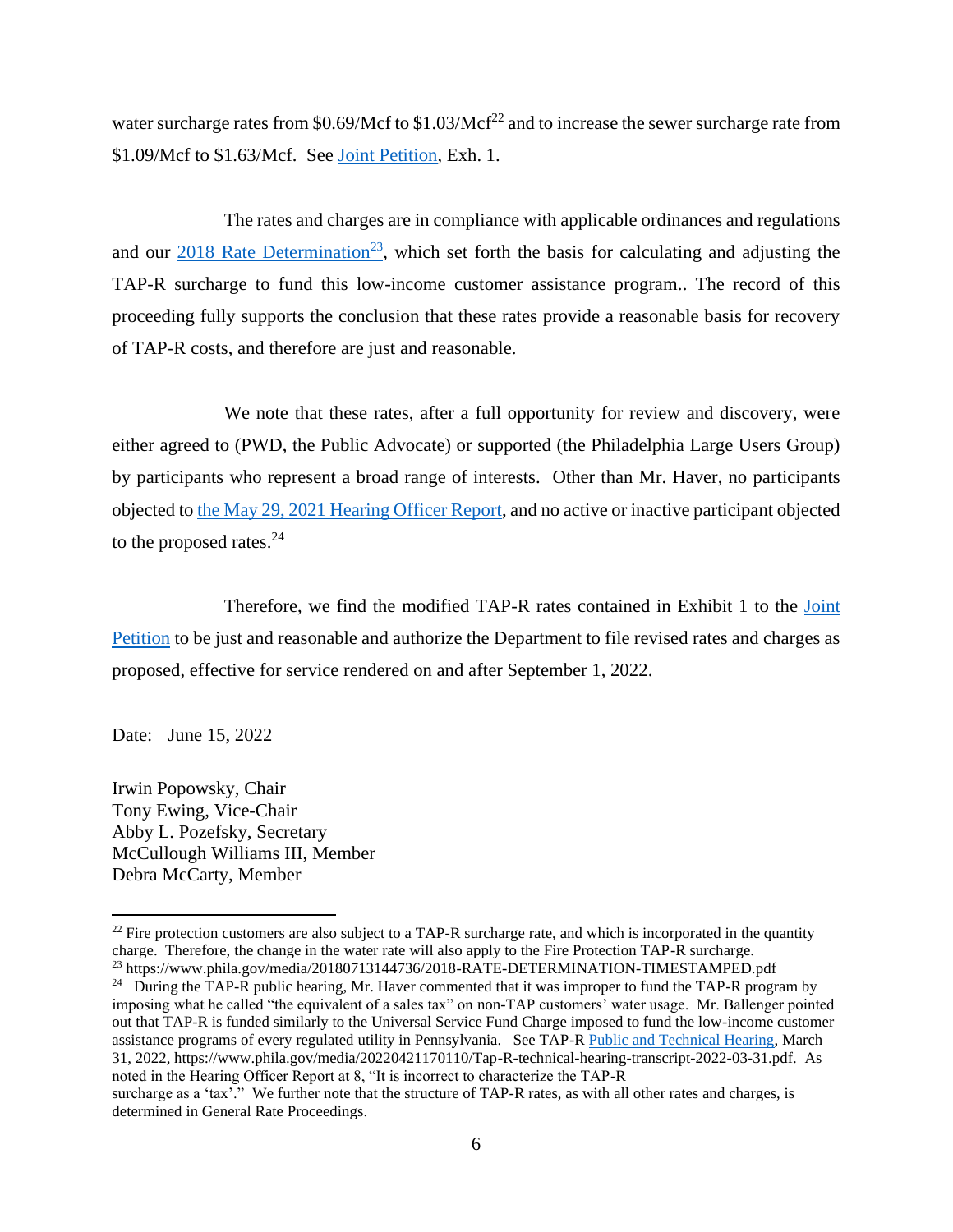water surcharge rates from \$0.69/Mcf to  $$1.03/Mcf<sup>22</sup>$  and to increase the sewer surcharge rate from \$1.09/Mcf to \$1.63/Mcf. See [Joint Petition,](https://www.phila.gov/media/20220425205927/PWD-2022-TAP-joint-settlement-final-Combined.pdf) Exh. 1.

The rates and charges are in compliance with applicable ordinances and regulations and our  $2018$  Rate Determination<sup>23</sup>, which set forth the basis for calculating and adjusting the TAP-R surcharge to fund this low-income customer assistance program.. The record of this proceeding fully supports the conclusion that these rates provide a reasonable basis for recovery of TAP-R costs, and therefore are just and reasonable.

We note that these rates, after a full opportunity for review and discovery, were either agreed to (PWD, the Public Advocate) or supported (the Philadelphia Large Users Group) by participants who represent a broad range of interests. Other than Mr. Haver, no participants objected t[o the May 29, 2021 Hearing Officer Report,](https://www.phila.gov/media/20220512191447/TAP-R-Report-2022-May-10-final.pdf) and no active or inactive participant objected to the proposed rates.<sup>24</sup>

Therefore, we find the modified TAP-R rates contained in Exhibit 1 to the [Joint](https://www.phila.gov/media/20220425205927/PWD-2022-TAP-joint-settlement-final-Combined.pdf)  [Petition](https://www.phila.gov/media/20220425205927/PWD-2022-TAP-joint-settlement-final-Combined.pdf) to be just and reasonable and authorize the Department to file revised rates and charges as proposed, effective for service rendered on and after September 1, 2022.

Date: June 15, 2022

Irwin Popowsky, Chair Tony Ewing, Vice-Chair Abby L. Pozefsky, Secretary McCullough Williams III, Member Debra McCarty, Member

<sup>24</sup> During the TAP-R public hearing, Mr. Haver commented that it was improper to fund the TAP-R program by imposing what he called "the equivalent of a sales tax" on non-TAP customers' water usage. Mr. Ballenger pointed out that TAP-R is funded similarly to the Universal Service Fund Charge imposed to fund the low-income customer assistance programs of every regulated utility in Pennsylvania. See TAP-R [Public and Technical Hearing,](https://www.phila.gov/media/20220421170110/Tap-R-technical-hearing-transcript-2022-03-31.pdf) March 31, 2022, https://www.phila.gov/media/20220421170110/Tap-R-technical-hearing-transcript-2022-03-31.pdf. As noted in the Hearing Officer Report at 8, "It is incorrect to characterize the TAP-R

 $22$  Fire protection customers are also subject to a TAP-R surcharge rate, and which is incorporated in the quantity charge. Therefore, the change in the water rate will also apply to the Fire Protection TAP-R surcharge. <sup>23</sup> https://www.phila.gov/media/20180713144736/2018-RATE-DETERMINATION-TIMESTAMPED.pdf

surcharge as a 'tax'." We further note that the structure of TAP-R rates, as with all other rates and charges, is determined in General Rate Proceedings.